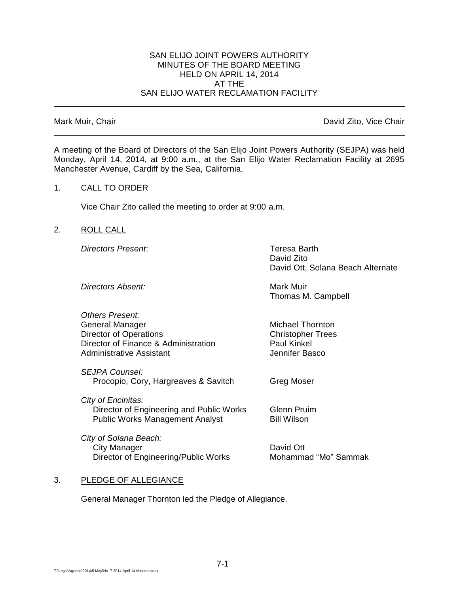#### SAN ELIJO JOINT POWERS AUTHORITY MINUTES OF THE BOARD MEETING HELD ON APRIL 14, 2014 AT THE SAN ELIJO WATER RECLAMATION FACILITY

Mark Muir, Chair **David Zito, Vice Chair** David Zito, Vice Chair

A meeting of the Board of Directors of the San Elijo Joint Powers Authority (SEJPA) was held Monday, April 14, 2014, at 9:00 a.m., at the San Elijo Water Reclamation Facility at 2695 Manchester Avenue, Cardiff by the Sea, California.

## 1. CALL TO ORDER

Vice Chair Zito called the meeting to order at 9:00 a.m.

## 2. ROLL CALL

*Directors Present*: Teresa Barth

David Zito David Ott, Solana Beach Alternate

**Directors Absent:** Mark Muir

Thomas M. Campbell

| <b>Others Present:</b>               |                          |
|--------------------------------------|--------------------------|
| General Manager                      | <b>Michael Thornton</b>  |
| Director of Operations               | <b>Christopher Trees</b> |
| Director of Finance & Administration | <b>Paul Kinkel</b>       |
| <b>Administrative Assistant</b>      | Jennifer Basco           |
|                                      |                          |

*SEJPA Counsel:* Procopio, Cory, Hargreaves & Savitch Greg Moser

 Director of Engineering and Public Works Glenn Pruim Public Works Management Analyst Bill Wilson

*City of Solana Beach:* City Manager **David Ott** Director of Engineering/Public Works Mohammad "Mo" Sammak

# 3. PLEDGE OF ALLEGIANCE

*City of Encinitas:*

General Manager Thornton led the Pledge of Allegiance.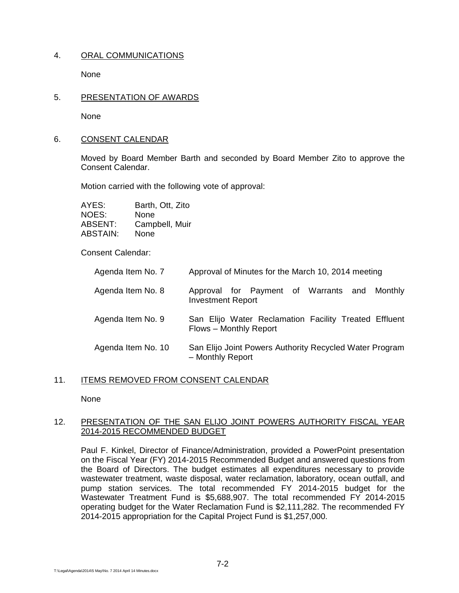# 4. ORAL COMMUNICATIONS

None

## 5. PRESENTATION OF AWARDS

None

## 6. CONSENT CALENDAR

Moved by Board Member Barth and seconded by Board Member Zito to approve the Consent Calendar.

Motion carried with the following vote of approval:

| AYES:    | Barth, Ott, Zito |
|----------|------------------|
| NOES:    | None             |
| ABSENT:  | Campbell, Muir   |
| ABSTAIN: | None             |

# Consent Calendar:

| Agenda Item No. 7  | Approval of Minutes for the March 10, 2014 meeting                              |
|--------------------|---------------------------------------------------------------------------------|
| Agenda Item No. 8  | Approval for Payment of Warrants and Monthly<br><b>Investment Report</b>        |
| Agenda Item No. 9  | San Elijo Water Reclamation Facility Treated Effluent<br>Flows - Monthly Report |
| Agenda Item No. 10 | San Elijo Joint Powers Authority Recycled Water Program<br>- Monthly Report     |

# 11. ITEMS REMOVED FROM CONSENT CALENDAR

None

## 12. PRESENTATION OF THE SAN ELIJO JOINT POWERS AUTHORITY FISCAL YEAR 2014-2015 RECOMMENDED BUDGET

Paul F. Kinkel, Director of Finance/Administration, provided a PowerPoint presentation on the Fiscal Year (FY) 2014-2015 Recommended Budget and answered questions from the Board of Directors. The budget estimates all expenditures necessary to provide wastewater treatment, waste disposal, water reclamation, laboratory, ocean outfall, and pump station services. The total recommended FY 2014-2015 budget for the Wastewater Treatment Fund is \$5,688,907. The total recommended FY 2014-2015 operating budget for the Water Reclamation Fund is \$2,111,282. The recommended FY 2014-2015 appropriation for the Capital Project Fund is \$1,257,000.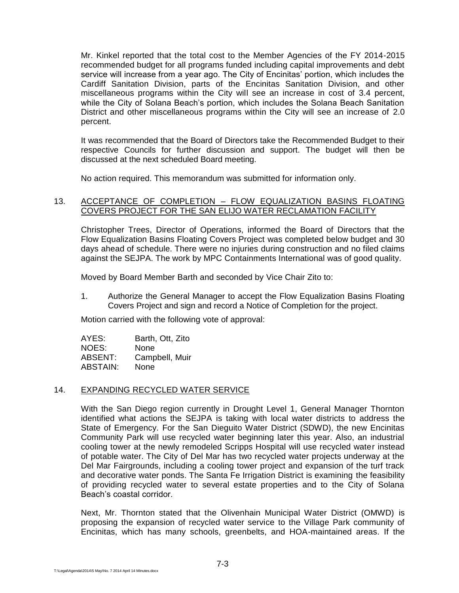Mr. Kinkel reported that the total cost to the Member Agencies of the FY 2014-2015 recommended budget for all programs funded including capital improvements and debt service will increase from a year ago. The City of Encinitas' portion, which includes the Cardiff Sanitation Division, parts of the Encinitas Sanitation Division, and other miscellaneous programs within the City will see an increase in cost of 3.4 percent, while the City of Solana Beach's portion, which includes the Solana Beach Sanitation District and other miscellaneous programs within the City will see an increase of 2.0 percent.

It was recommended that the Board of Directors take the Recommended Budget to their respective Councils for further discussion and support. The budget will then be discussed at the next scheduled Board meeting.

No action required. This memorandum was submitted for information only.

## 13. ACCEPTANCE OF COMPLETION - FLOW EQUALIZATION BASINS FLOATING COVERS PROJECT FOR THE SAN ELIJO WATER RECLAMATION FACILITY

Christopher Trees, Director of Operations, informed the Board of Directors that the Flow Equalization Basins Floating Covers Project was completed below budget and 30 days ahead of schedule. There were no injuries during construction and no filed claims against the SEJPA. The work by MPC Containments International was of good quality.

Moved by Board Member Barth and seconded by Vice Chair Zito to:

1. Authorize the General Manager to accept the Flow Equalization Basins Floating Covers Project and sign and record a Notice of Completion for the project.

Motion carried with the following vote of approval:

| AYES:    | Barth, Ott, Zito |
|----------|------------------|
| NOES:    | None             |
| ABSENT:  | Campbell, Muir   |
| ABSTAIN: | None             |

# 14. EXPANDING RECYCLED WATER SERVICE

With the San Diego region currently in Drought Level 1, General Manager Thornton identified what actions the SEJPA is taking with local water districts to address the State of Emergency. For the San Dieguito Water District (SDWD), the new Encinitas Community Park will use recycled water beginning later this year. Also, an industrial cooling tower at the newly remodeled Scripps Hospital will use recycled water instead of potable water. The City of Del Mar has two recycled water projects underway at the Del Mar Fairgrounds, including a cooling tower project and expansion of the turf track and decorative water ponds. The Santa Fe Irrigation District is examining the feasibility of providing recycled water to several estate properties and to the City of Solana Beach's coastal corridor.

Next, Mr. Thornton stated that the Olivenhain Municipal Water District (OMWD) is proposing the expansion of recycled water service to the Village Park community of Encinitas, which has many schools, greenbelts, and HOA-maintained areas. If the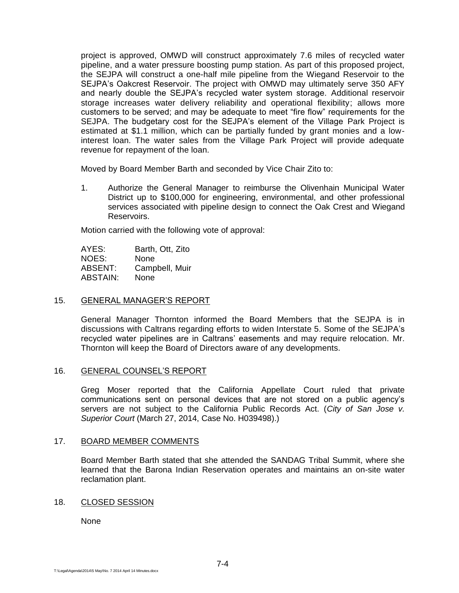project is approved, OMWD will construct approximately 7.6 miles of recycled water pipeline, and a water pressure boosting pump station. As part of this proposed project, the SEJPA will construct a one-half mile pipeline from the Wiegand Reservoir to the SEJPA's Oakcrest Reservoir. The project with OMWD may ultimately serve 350 AFY and nearly double the SEJPA's recycled water system storage. Additional reservoir storage increases water delivery reliability and operational flexibility; allows more customers to be served; and may be adequate to meet "fire flow" requirements for the SEJPA. The budgetary cost for the SEJPA's element of the Village Park Project is estimated at \$1.1 million, which can be partially funded by grant monies and a lowinterest loan. The water sales from the Village Park Project will provide adequate revenue for repayment of the loan.

Moved by Board Member Barth and seconded by Vice Chair Zito to:

1. Authorize the General Manager to reimburse the Olivenhain Municipal Water District up to \$100,000 for engineering, environmental, and other professional services associated with pipeline design to connect the Oak Crest and Wiegand Reservoirs.

Motion carried with the following vote of approval:

AYES: Barth, Ott, Zito NOES: None ABSENT: Campbell, Muir ABSTAIN: None

#### 15. GENERAL MANAGER'S REPORT

General Manager Thornton informed the Board Members that the SEJPA is in discussions with Caltrans regarding efforts to widen Interstate 5. Some of the SEJPA's recycled water pipelines are in Caltrans' easements and may require relocation. Mr. Thornton will keep the Board of Directors aware of any developments.

#### 16. GENERAL COUNSEL'S REPORT

Greg Moser reported that the California Appellate Court ruled that private communications sent on personal devices that are not stored on a public agency's servers are not subject to the California Public Records Act. (*City of San Jose v. Superior Court* (March 27, 2014, Case No. H039498).)

#### 17. BOARD MEMBER COMMENTS

Board Member Barth stated that she attended the SANDAG Tribal Summit, where she learned that the Barona Indian Reservation operates and maintains an on-site water reclamation plant.

#### 18. CLOSED SESSION

None